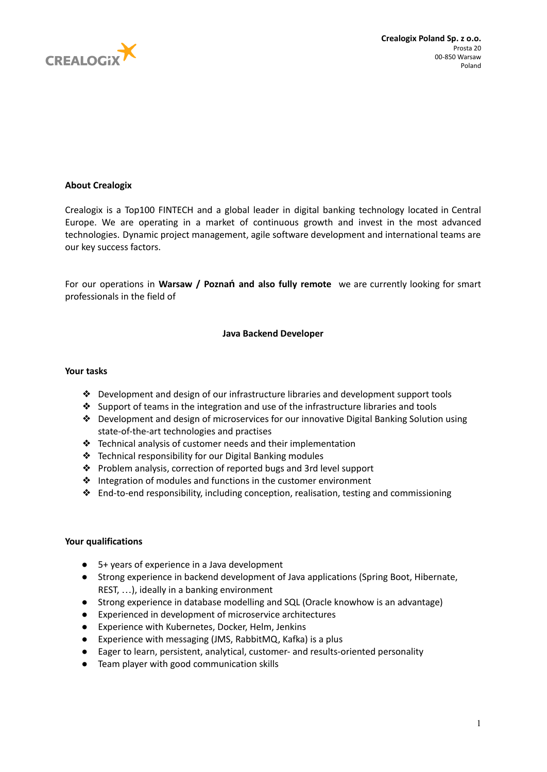

# **About Crealogix**

Crealogix is a Top100 FINTECH and a global leader in digital banking technology located in Central Europe. We are operating in a market of continuous growth and invest in the most advanced technologies. Dynamic project management, agile software development and international teams are our key success factors.

For our operations in **Warsaw / Poznań and also fully remote** we are currently looking for smart professionals in the field of

### **Java Backend Developer**

### **Your tasks**

- ❖ Development and design of our infrastructure libraries and development support tools
- ❖ Support of teams in the integration and use of the infrastructure libraries and tools
- ❖ Development and design of microservices for our innovative Digital Banking Solution using state-of-the-art technologies and practises
- ❖ Technical analysis of customer needs and their implementation
- ❖ Technical responsibility for our Digital Banking modules
- ❖ Problem analysis, correction of reported bugs and 3rd level support
- ❖ Integration of modules and functions in the customer environment
- ❖ End-to-end responsibility, including conception, realisation, testing and commissioning

## **Your qualifications**

- 5+ years of experience in a Java development
- Strong experience in backend development of Java applications (Spring Boot, Hibernate, REST, …), ideally in a banking environment
- Strong experience in database modelling and SQL (Oracle knowhow is an advantage)
- Experienced in development of microservice architectures
- Experience with Kubernetes, Docker, Helm, Jenkins
- Experience with messaging (JMS, RabbitMQ, Kafka) is a plus
- Eager to learn, persistent, analytical, customer- and results-oriented personality
- Team player with good communication skills